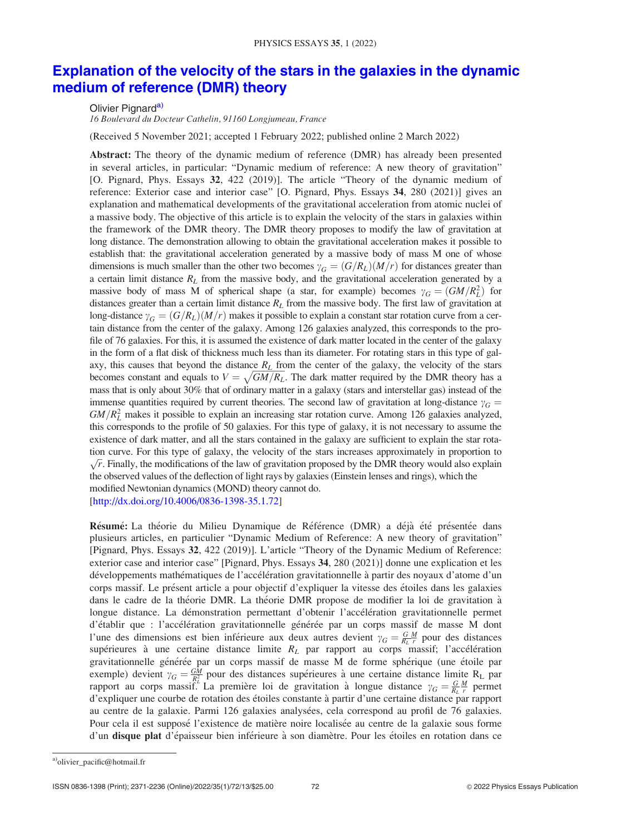# [Explanation of the velocity of the stars in the galaxies in the dynamic](http://dx.doi.org/10.4006/0836-1398-35.1.72) [medium of reference \(DMR\) theory](http://dx.doi.org/10.4006/0836-1398-35.1.72)

# Olivier Pignard<sup>a)</sup>

16 Boulevard du Docteur Cathelin, 91160 Longjumeau, France

(Received 5 November 2021; accepted 1 February 2022; published online 2 March 2022)

Abstract: The theory of the dynamic medium of reference (DMR) has already been presented in several articles, in particular: "Dynamic medium of reference: A new theory of gravitation" [O. Pignard, Phys. Essays 32, 422 (2019)]. The article "Theory of the dynamic medium of reference: Exterior case and interior case" [O. Pignard, Phys. Essays 34, 280 (2021)] gives an explanation and mathematical developments of the gravitational acceleration from atomic nuclei of a massive body. The objective of this article is to explain the velocity of the stars in galaxies within the framework of the DMR theory. The DMR theory proposes to modify the law of gravitation at long distance. The demonstration allowing to obtain the gravitational acceleration makes it possible to establish that: the gravitational acceleration generated by a massive body of mass M one of whose dimensions is much smaller than the other two becomes  $\gamma_G = (G/R_L)(M/r)$  for distances greater than a certain limit distance  $R_L$  from the massive body, and the gravitational acceleration generated by a massive body of mass M of spherical shape (a star, for example) becomes  $\gamma_G = (GM/R_L^2)$  for distances greater than a certain limit distance  $R<sub>L</sub>$  from the massive body. The first law of gravitation at long-distance  $\gamma_G = (G/R_L)(M/r)$  makes it possible to explain a constant star rotation curve from a certain distance from the center of the galaxy. Among 126 galaxies analyzed, this corresponds to the profile of 76 galaxies. For this, it is assumed the existence of dark matter located in the center of the galaxy in the form of a flat disk of thickness much less than its diameter. For rotating stars in this type of galaxy, this causes that beyond the distance  $R<sub>L</sub>$  from the center of the galaxy, the velocity of the stars becomes constant and equals to  $V = \sqrt{GM/R_L}$ . The dark matter required by the DMR theory has a mass that is only about 30% that of ordinary matter in a galaxy (stars and interstellar gas) instead of the immense quantities required by current theories. The second law of gravitation at long-distance  $\gamma_G$  =  $GM/R_L^2$  makes it possible to explain an increasing star rotation curve. Among 126 galaxies analyzed, this corresponds to the profile of 50 galaxies. For this type of galaxy, it is not necessary to assume the existence of dark matter, and all the stars contained in the galaxy are sufficient to explain the star rotation curve. For this type of galaxy, the velocity of the stars increases approximately in proportion to  $\sqrt{r}$ . Finally, the modifications of the law of gravitation proposed by the DMR theory would also explain the observed values of the deflection of light rays by galaxies(Einstein lenses and rings), which the modified Newtonian dynamics(MOND) theory cannot do. [http://dx.doi.org/10.4006/0836-1398-35.1.72]

l'une des dimensions est bien inférieure aux deux autres devient  $\gamma_G = \frac{G M}{R_L r}$  pour des distances Résumé: La théorie du Milieu Dynamique de Référence (DMR) a déjà été présentée dans plusieurs articles, en particulier "Dynamic Medium of Reference: A new theory of gravitation" [Pignard, Phys. Essays 32, 422 (2019)]. L'article "Theory of the Dynamic Medium of Reference: exterior case and interior case" [Pignard, Phys. Essays 34, 280 (2021)] donne une explication et les développements mathématiques de l'accélération gravitationnelle à partir des noyaux d'atome d'un corps massif. Le présent article a pour objectif d'expliquer la vitesse des étoiles dans les galaxies dans le cadre de la théorie DMR. La théorie DMR propose de modifier la loi de gravitation à longue distance. La démonstration permettant d'obtenir l'accélération gravitationnelle permet d'établir que : l'accélération gravitationnelle générée par un corps massif de masse M dont supérieures à une certaine distance limite  $R_L$  par rapport au corps massif; l'accélération gravitationnelle générée par un corps massif de masse M de forme sphérique (une étoile par exemple) devient  $\gamma_G = \frac{GM}{R_L^2}$  pour des distances supérieures à une certaine distance limite R<sub>L</sub> par rapport au corps massif.<sup>'</sup> La première loi de gravitation à longue distance  $\gamma_G = \frac{G M}{R_L r}$  permet d'expliquer une courbe de rotation des étoiles constante à partir d'une certaine distance par rapport au centre de la galaxie. Parmi 126 galaxies analysées, cela correspond au profil de 76 galaxies. Pour cela il est supposé l'existence de matière noire localisée au centre de la galaxie sous forme d'un disque plat d'épaisseur bien inférieure à son diamètre. Pour les étoiles en rotation dans ce

a)olivier\_pacific@hotmail.fr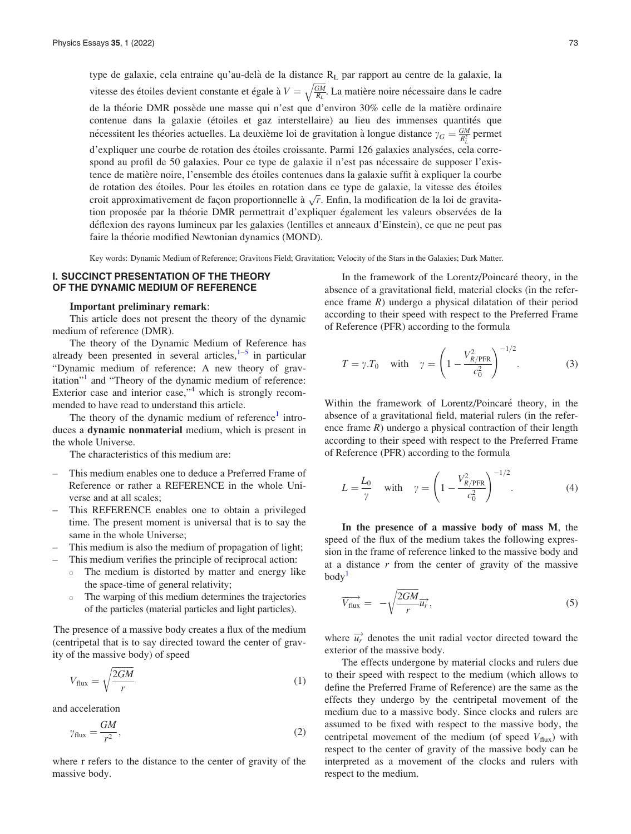type de galaxie, cela entraine qu'au-delà de la distance  $R<sub>L</sub>$  par rapport au centre de la galaxie, la vitesse des étoiles devient constante et égale à  $V =$  $\frac{GM}{R_L}$  $\frac{1}{\sqrt{2}}$ . La matière noire nécessaire dans le cadre de la théorie DMR possède une masse qui n'est que d'environ 30% celle de la matière ordinaire contenue dans la galaxie (étoiles et gaz interstellaire) au lieu des immenses quantités que nécessitent les théories actuelles. La deuxième loi de gravitation à longue distance  $\gamma_G = \frac{GM}{R_L^2}$  permet d'expliquer une courbe de rotation des étoiles croissante. Parmi 126 galaxies analysées, cela correspond au profil de 50 galaxies. Pour ce type de galaxie il n'est pas nécessaire de supposer l'existence de matière noire, l'ensemble des étoiles contenues dans la galaxie suffit à expliquer la courbe de rotation des étoiles. Pour les étoiles en rotation dans ce type de galaxie, la vitesse des étoiles croit approximativement de façon proportionnelle à  $\sqrt{r}$ . Enfin, la modification de la loi de gravitation proposée par la théorie DMR permettrait d'expliquer également les valeurs observées de la déflexion des rayons lumineux par les galaxies (lentilles et anneaux d'Einstein), ce que ne peut pas faire la théorie modified Newtonian dynamics (MOND).

Key words: Dynamic Medium of Reference; Gravitons Field; Gravitation; Velocity of the Stars in the Galaxies; Dark Matter.

## I. SUCCINCT PRESENTATION OF THE THEORY OF THE DYNAMIC MEDIUM OF REFERENCE

#### Important preliminary remark:

This article does not present the theory of the dynamic medium of reference (DMR).

The theory of the Dynamic Medium of Reference has already been presented in several articles, $1-5$  in particular "Dynamic medium of reference: A new theory of grav-itation"<sup>[1](#page-11-0)</sup> and "Theory of the dynamic medium of reference: Exterior case and interior case," $4$  which is strongly recommended to have read to understand this article.

The theory of the dynamic medium of reference $<sup>1</sup>$  $<sup>1</sup>$  $<sup>1</sup>$  intro-</sup> duces a dynamic nonmaterial medium, which is present in the whole Universe.

The characteristics of this medium are:

- This medium enables one to deduce a Preferred Frame of Reference or rather a REFERENCE in the whole Universe and at all scales;
- This REFERENCE enables one to obtain a privileged time. The present moment is universal that is to say the same in the whole Universe;
- This medium is also the medium of propagation of light;
- This medium verifies the principle of reciprocal action:
	- The medium is distorted by matter and energy like the space-time of general relativity;
	- $\circ$  The warping of this medium determines the trajectories of the particles (material particles and light particles).

The presence of a massive body creates a flux of the medium (centripetal that is to say directed toward the center of gravity of the massive body) of speed

$$
V_{\text{flux}} = \sqrt{\frac{2GM}{r}} \tag{1}
$$

and acceleration

$$
\gamma_{\text{flux}} = \frac{GM}{r^2},\tag{2}
$$

where r refers to the distance to the center of gravity of the massive body.

In the framework of the Lorentz/Poincaré theory, in the absence of a gravitational field, material clocks (in the reference frame R) undergo a physical dilatation of their period according to their speed with respect to the Preferred Frame of Reference (PFR) according to the formula

$$
T = \gamma \cdot T_0 \quad \text{with} \quad \gamma = \left(1 - \frac{V_{R/\text{PFR}}^2}{c_0^2}\right)^{-1/2}.\tag{3}
$$

Within the framework of Lorentz/Poincaré theory, in the absence of a gravitational field, material rulers (in the reference frame  $R$ ) undergo a physical contraction of their length according to their speed with respect to the Preferred Frame of Reference (PFR) according to the formula

$$
L = \frac{L_0}{\gamma} \quad \text{with} \quad \gamma = \left(1 - \frac{V_{R/\text{PFR}}^2}{c_0^2}\right)^{-1/2}.\tag{4}
$$

In the presence of a massive body of mass M, the speed of the flux of the medium takes the following expression in the frame of reference linked to the massive body and at a distance  $r$  from the center of gravity of the massive  $body<sup>1</sup>$  $body<sup>1</sup>$  $body<sup>1</sup>$ 

$$
\overrightarrow{V_{\text{flux}}} = -\sqrt{\frac{2GM}{r}} \overrightarrow{u_r}, \qquad (5)
$$

where  $\overrightarrow{u_r}$  denotes the unit radial vector directed toward the exterior of the massive body.

The effects undergone by material clocks and rulers due to their speed with respect to the medium (which allows to define the Preferred Frame of Reference) are the same as the effects they undergo by the centripetal movement of the medium due to a massive body. Since clocks and rulers are assumed to be fixed with respect to the massive body, the centripetal movement of the medium (of speed  $V_{\text{flux}}$ ) with respect to the center of gravity of the massive body can be interpreted as a movement of the clocks and rulers with respect to the medium.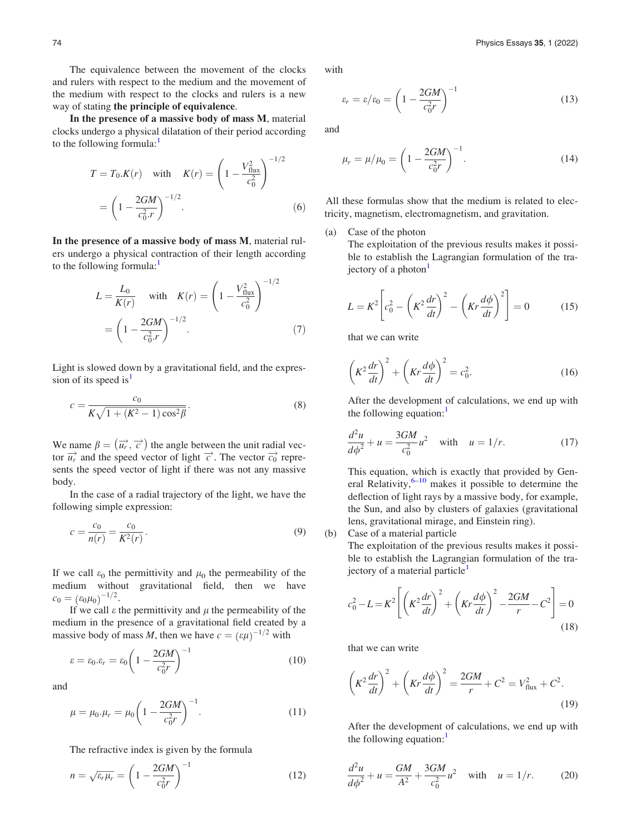The equivalence between the movement of the clocks and rulers with respect to the medium and the movement of the medium with respect to the clocks and rulers is a new way of stating the principle of equivalence.

In the presence of a massive body of mass M, material clocks undergo a physical dilatation of their period according to the following formula:

$$
T = T_0.K(r) \quad \text{with} \quad K(r) = \left(1 - \frac{V_{\text{flux}}^2}{c_0^2}\right)^{-1/2}
$$

$$
= \left(1 - \frac{2GM}{c_0^2 r}\right)^{-1/2}.
$$
 (6)

In the presence of a massive body of mass M, material rulers undergo a physical contraction of their length according to the following formula:<sup>[1](#page-11-0)</sup>

$$
L = \frac{L_0}{K(r)} \quad \text{with} \quad K(r) = \left(1 - \frac{V_{\text{flux}}^2}{c_0^2}\right)^{-1/2}
$$

$$
= \left(1 - \frac{2GM}{c_0^2 r}\right)^{-1/2}.
$$
 (7)

 $1/2$ 

Light is slowed down by a gravitational field, and the expres-sion of its speed is<sup>[1](#page-11-0)</sup>

$$
c = \frac{c_0}{K\sqrt{1 + (K^2 - 1)\cos^2\beta}}.
$$
\n(8)

We name  $\beta = (\vec{u_r}, \vec{c})$  the angle between the unit radial vector  $\overrightarrow{u_r}$  and the speed vector of light  $\overrightarrow{c}$ . The vector  $\overrightarrow{c_0}$  represents the speed vector of light if there was not any massive body.

In the case of a radial trajectory of the light, we have the following simple expression:

$$
c = \frac{c_0}{n(r)} = \frac{c_0}{K^2(r)}.
$$
\n(9)

If we call  $\varepsilon_0$  the permittivity and  $\mu_0$  the permeability of the medium without gravitational field, then we have  $c_0 = (\varepsilon_0 \mu_0)^{-1/2}.$ 

If we call  $\varepsilon$  the permittivity and  $\mu$  the permeability of the medium in the presence of a gravitational field created by a massive body of mass M, then we have  $c = (\varepsilon \mu)^{-1/2}$  with

$$
\varepsilon = \varepsilon_0 . \varepsilon_r = \varepsilon_0 \left( 1 - \frac{2GM}{c_0^2 r} \right)^{-1} \tag{10}
$$

and

$$
\mu = \mu_0 \cdot \mu_r = \mu_0 \left( 1 - \frac{2GM}{c_0^2 r} \right)^{-1} . \tag{11}
$$

The refractive index is given by the formula

$$
n = \sqrt{\varepsilon_r \mu_r} = \left(1 - \frac{2GM}{c_0^2 r}\right)^{-1} \tag{12}
$$

with

$$
\varepsilon_r = \varepsilon / \varepsilon_0 = \left( 1 - \frac{2GM}{c_0^2 r} \right)^{-1} \tag{13}
$$

and

$$
\mu_r = \mu / \mu_0 = \left( 1 - \frac{2GM}{c_0^2 r} \right)^{-1} . \tag{14}
$$

All these formulas show that the medium is related to electricity, magnetism, electromagnetism, and gravitation.

(a) Case of the photon

The exploitation of the previous results makes it possible to establish the Lagrangian formulation of the tra-jectory of a photon<sup>[1](#page-11-0)</sup>

$$
L = K^2 \left[ c_0^2 - \left( K^2 \frac{dr}{dt} \right)^2 - \left( Kr \frac{d\phi}{dt} \right)^2 \right] = 0 \tag{15}
$$

that we can write

$$
\left(K^2\frac{dr}{dt}\right)^2 + \left(Kr\frac{d\phi}{dt}\right)^2 = c_0^2.
$$
 (16)

After the development of calculations, we end up with the following equation: $\frac{1}{1}$  $\frac{1}{1}$  $\frac{1}{1}$ 

$$
\frac{d^2u}{d\phi^2} + u = \frac{3GM}{c_0^2}u^2 \quad \text{with} \quad u = 1/r. \tag{17}
$$

This equation, which is exactly that provided by General Relativity, $6-10$  makes it possible to determine the deflection of light rays by a massive body, for example, the Sun, and also by clusters of galaxies (gravitational lens, gravitational mirage, and Einstein ring). (b) Case of a material particle

The exploitation of the previous results makes it possi-

ble to establish the Lagrangian formulation of the tra-jectory of a material particle<sup>[1](#page-11-0)</sup>

$$
c_0^2 - L = K^2 \left[ \left( K^2 \frac{dr}{dt} \right)^2 + \left( Kr \frac{d\phi}{dt} \right)^2 - \frac{2GM}{r} - C^2 \right] = 0
$$
\n(18)

that we can write

$$
\left(K^2\frac{dr}{dt}\right)^2 + \left(Kr\frac{d\phi}{dt}\right)^2 = \frac{2GM}{r} + C^2 = V_{\text{flux}}^2 + C^2.
$$
\n(19)

After the development of calculations, we end up with the following equation: $<sup>1</sup>$  $<sup>1</sup>$  $<sup>1</sup>$ </sup>

$$
\frac{d^2u}{d\phi^2} + u = \frac{GM}{A^2} + \frac{3GM}{c_0^2}u^2 \quad \text{with} \quad u = 1/r. \tag{20}
$$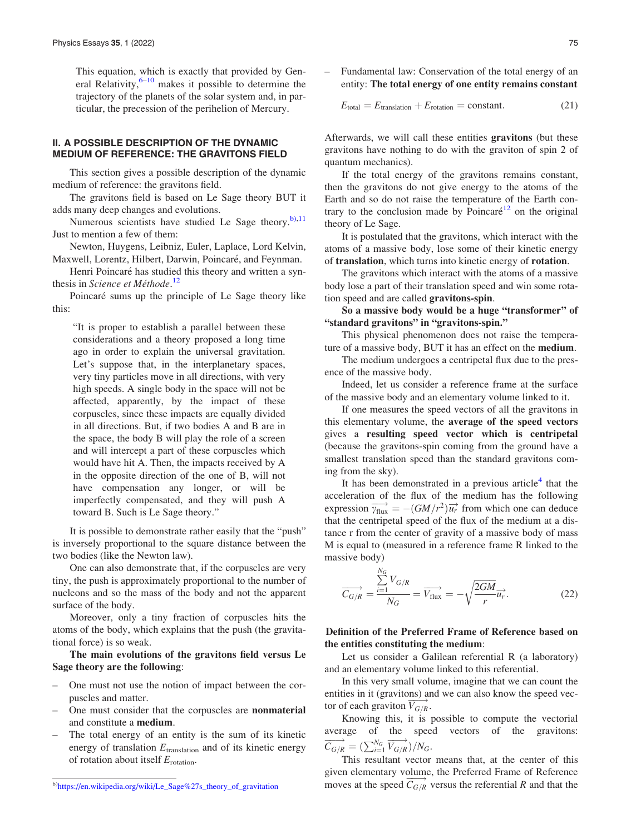This equation, which is exactly that provided by General Relativity, $6-10$  makes it possible to determine the trajectory of the planets of the solar system and, in particular, the precession of the perihelion of Mercury.

## II. A POSSIBLE DESCRIPTION OF THE DYNAMIC MEDIUM OF REFERENCE: THE GRAVITONS FIELD

This section gives a possible description of the dynamic medium of reference: the gravitons field.

The gravitons field is based on Le Sage theory BUT it adds many deep changes and evolutions.

Numerous scientists have studied Le Sage theory.<sup>b)[,11](#page-11-0)</sup> Just to mention a few of them:

Newton, Huygens, Leibniz, Euler, Laplace, Lord Kelvin, Maxwell, Lorentz, Hilbert, Darwin, Poincaré, and Feynman.

Henri Poincaré has studied this theory and written a syn-thesis in Science et Méthode.<sup>[12](#page-11-0)</sup>

Poincaré sums up the principle of Le Sage theory like this:

"It is proper to establish a parallel between these considerations and a theory proposed a long time ago in order to explain the universal gravitation. Let's suppose that, in the interplanetary spaces, very tiny particles move in all directions, with very high speeds. A single body in the space will not be affected, apparently, by the impact of these corpuscles, since these impacts are equally divided in all directions. But, if two bodies A and B are in the space, the body B will play the role of a screen and will intercept a part of these corpuscles which would have hit A. Then, the impacts received by A in the opposite direction of the one of B, will not have compensation any longer, or will be imperfectly compensated, and they will push A toward B. Such is Le Sage theory."

It is possible to demonstrate rather easily that the "push" is inversely proportional to the square distance between the two bodies (like the Newton law).

One can also demonstrate that, if the corpuscles are very tiny, the push is approximately proportional to the number of nucleons and so the mass of the body and not the apparent surface of the body.

Moreover, only a tiny fraction of corpuscles hits the atoms of the body, which explains that the push (the gravitational force) is so weak.

The main evolutions of the gravitons field versus Le Sage theory are the following:

- One must not use the notion of impact between the corpuscles and matter.
- One must consider that the corpuscles are nonmaterial and constitute a medium.
- The total energy of an entity is the sum of its kinetic energy of translation  $E_{\text{translation}}$  and of its kinetic energy of rotation about itself  $E_{\text{rotation}}$ .

– Fundamental law: Conservation of the total energy of an entity: The total energy of one entity remains constant

$$
E_{\text{total}} = E_{\text{translation}} + E_{\text{rotation}} = \text{constant.} \tag{21}
$$

Afterwards, we will call these entities gravitons (but these gravitons have nothing to do with the graviton of spin 2 of quantum mechanics).

If the total energy of the gravitons remains constant, then the gravitons do not give energy to the atoms of the Earth and so do not raise the temperature of the Earth con-trary to the conclusion made by Poincaré<sup>[12](#page-11-0)</sup> on the original theory of Le Sage.

It is postulated that the gravitons, which interact with the atoms of a massive body, lose some of their kinetic energy of translation, which turns into kinetic energy of rotation.

The gravitons which interact with the atoms of a massive body lose a part of their translation speed and win some rotation speed and are called gravitons-spin.

So a massive body would be a huge "transformer" of "standard gravitons" in "gravitons-spin."

This physical phenomenon does not raise the temperature of a massive body, BUT it has an effect on the medium.

The medium undergoes a centripetal flux due to the presence of the massive body.

Indeed, let us consider a reference frame at the surface of the massive body and an elementary volume linked to it.

If one measures the speed vectors of all the gravitons in this elementary volume, the average of the speed vectors gives a resulting speed vector which is centripetal (because the gravitons-spin coming from the ground have a smallest translation speed than the standard gravitons coming from the sky).

It has been demonstrated in a previous article<sup>[4](#page-11-0)</sup> that the acceleration of the flux of the medium has the following expression  $\overrightarrow{v_{\text{flux}}} = -(GM/r^2)\overrightarrow{u_r}$  from which one can deduce that the centripetal speed of the flux of the medium at a distance r from the center of gravity of a massive body of mass M is equal to (measured in a reference frame R linked to the massive body)

$$
\overrightarrow{C_{G/R}} = \frac{\sum_{i=1}^{N_G} V_{G/R}}{N_G} = \overrightarrow{V_{\text{flux}}} = -\sqrt{\frac{2GM}{r}} \overrightarrow{u_r}.
$$
 (22)

# Definition of the Preferred Frame of Reference based on the entities constituting the medium:

Let us consider a Galilean referential R (a laboratory) and an elementary volume linked to this referential.

In this very small volume, imagine that we can count the entities in it (gravitons) and we can also know the speed vector of each graviton  $\overrightarrow{V_{G/R}}$ .

Knowing this, it is possible to compute the vectorial average of the speed vectors of the gravitons:  $\overrightarrow{C_{G/R}} = (\sum_{i=1}^{N_G} \overrightarrow{V_{G/R}})/N_G.$ 

This resultant vector means that, at the center of this given elementary volume, the Preferred Frame of Reference  $\frac{b}{b}$ https://en.wikipedia.org/wiki/Le\_Sage%27s\_theory\_of\_gravitation versus the speed  $\overline{C_{G/R}}$  versus the referential R and that the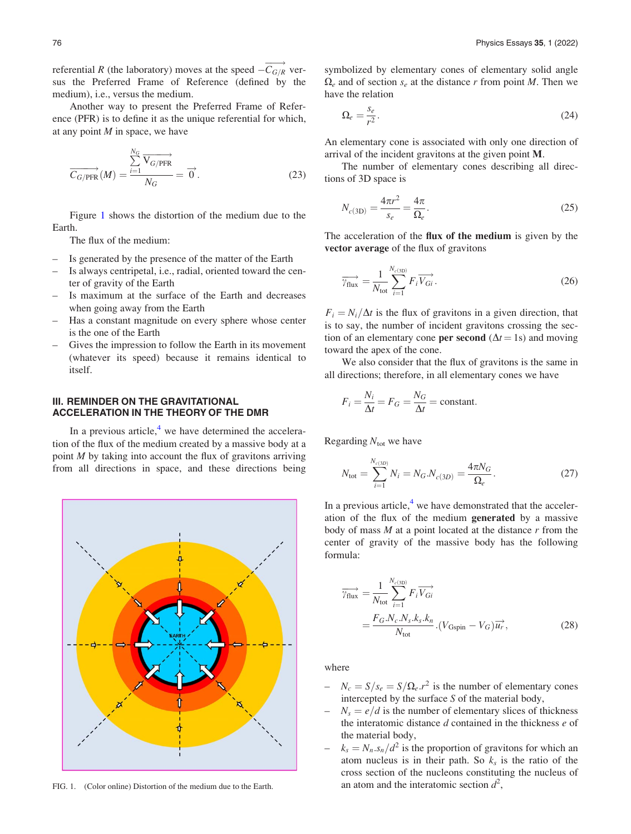<span id="page-4-0"></span>referential R (the laboratory) moves at the speed  $-\overrightarrow{C_{G/R}}$  versus the Preferred Frame of Reference (defined by the medium), i.e., versus the medium.

Another way to present the Preferred Frame of Reference (PFR) is to define it as the unique referential for which, at any point  $M$  in space, we have

$$
\overrightarrow{C_{G/\text{PFR}}}(M) = \frac{\sum_{i=1}^{N_G} \overrightarrow{V_{G/\text{PFR}}} }{N_G} = \overrightarrow{0}.
$$
 (23)

Figure 1 shows the distortion of the medium due to the Earth.

The flux of the medium:

- Is generated by the presence of the matter of the Earth
- Is always centripetal, i.e., radial, oriented toward the center of gravity of the Earth
- Is maximum at the surface of the Earth and decreases when going away from the Earth
- Has a constant magnitude on every sphere whose center is the one of the Earth
- Gives the impression to follow the Earth in its movement (whatever its speed) because it remains identical to itself.

# III. REMINDER ON THE GRAVITATIONAL ACCELERATION IN THE THEORY OF THE DMR

In a previous article, $4$  we have determined the acceleration of the flux of the medium created by a massive body at a point  $M$  by taking into account the flux of gravitons arriving from all directions in space, and these directions being



FIG. 1. (Color online) Distortion of the medium due to the Earth.

symbolized by elementary cones of elementary solid angle  $\Omega_e$  and of section  $s_e$  at the distance r from point M. Then we have the relation

$$
\Omega_e = \frac{s_e}{r^2}.\tag{24}
$$

An elementary cone is associated with only one direction of arrival of the incident gravitons at the given point M.

The number of elementary cones describing all directions of 3D space is

$$
N_{c(3D)} = \frac{4\pi r^2}{s_e} = \frac{4\pi}{\Omega_e}.
$$
 (25)

The acceleration of the flux of the medium is given by the vector average of the flux of gravitons

$$
\overrightarrow{\gamma_{\text{flux}}} = \frac{1}{N_{\text{tot}}} \sum_{i=1}^{N_{c(3\text{D})}} F_i \overrightarrow{V_{Gi}}.
$$
\n(26)

 $F_i = N_i/\Delta t$  is the flux of gravitons in a given direction, that is to say, the number of incident gravitons crossing the section of an elementary cone **per second** ( $\Delta t = 1$ s) and moving toward the apex of the cone.

We also consider that the flux of gravitons is the same in all directions; therefore, in all elementary cones we have

$$
F_i = \frac{N_i}{\Delta t} = F_G = \frac{N_G}{\Delta t} = \text{constant}.
$$

Regarding  $N_{\text{tot}}$  we have

$$
N_{\text{tot}} = \sum_{i=1}^{N_{c(3D)}} N_i = N_G.N_{c(3D)} = \frac{4\pi N_G}{\Omega_e}.
$$
 (27)

In a previous article, $4$  we have demonstrated that the acceleration of the flux of the medium generated by a massive body of mass  $M$  at a point located at the distance  $r$  from the center of gravity of the massive body has the following formula:

$$
\overrightarrow{\gamma_{\text{flux}}} = \frac{1}{N_{\text{tot}}} \sum_{i=1}^{N_{c(3D)}} F_i \overrightarrow{V_{Gi}}
$$
\n
$$
= \frac{F_G \cdot N_c \cdot N_s \cdot k_s \cdot k_n}{N_{\text{tot}}} \cdot (V_{\text{Gspin}} - V_G) \overrightarrow{u_r},
$$
\n(28)

where

- $N_c = S/s_e = S/\Omega_e r^2$  is the number of elementary cones intercepted by the surface S of the material body,
- $N_s = e/d$  is the number of elementary slices of thickness the interatomic distance  $d$  contained in the thickness  $e$  of the material body,
- $k_s = N_n \cdot s_n/d^2$  is the proportion of gravitons for which an atom nucleus is in their path. So  $k<sub>s</sub>$  is the ratio of the cross section of the nucleons constituting the nucleus of an atom and the interatomic section  $d^2$ ,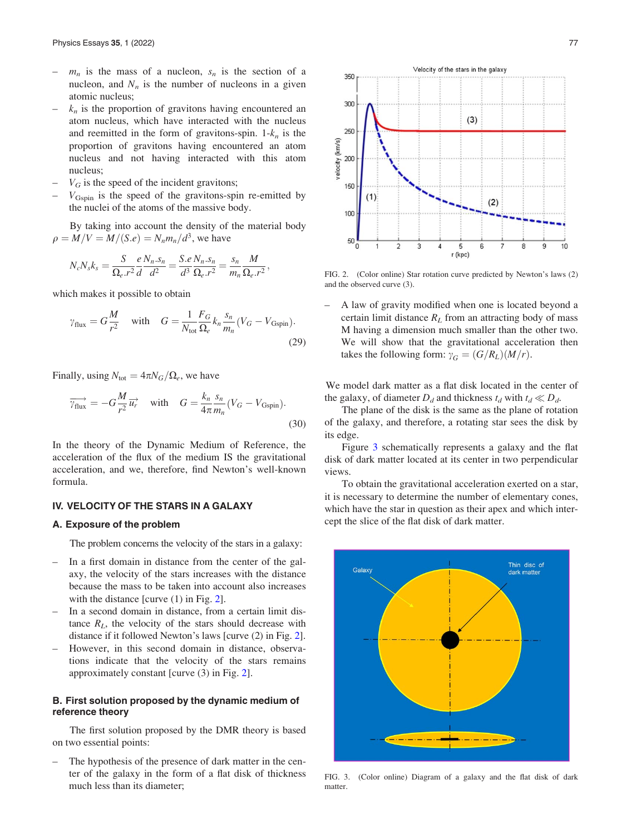- $m_n$  is the mass of a nucleon,  $s_n$  is the section of a nucleon, and  $N_n$  is the number of nucleons in a given atomic nucleus;
- $k_n$  is the proportion of gravitons having encountered an atom nucleus, which have interacted with the nucleus and reemitted in the form of gravitons-spin.  $1-k_n$  is the proportion of gravitons having encountered an atom nucleus and not having interacted with this atom nucleus;
- $V_G$  is the speed of the incident gravitons;
- $V_{\text{Gspin}}$  is the speed of the gravitons-spin re-emitted by the nuclei of the atoms of the massive body.

By taking into account the density of the material body  $\rho = M/V = M/(S.e) = N_n m_n/d^3$ , we have

$$
N_c N_s k_s = \frac{S}{\Omega_e . r^2} \frac{e N_n . s_n}{d^2} = \frac{S.e N_n . s_n}{d^3 \Omega_e . r^2} = \frac{s_n}{m_n} \frac{M}{\Omega_e . r^2},
$$

which makes it possible to obtain

$$
\gamma_{\text{flux}} = G \frac{M}{r^2}
$$
 with  $G = \frac{1}{N_{\text{tot}}} \frac{F_G}{\Omega_e} k_n \frac{s_n}{m_n} (V_G - V_{\text{Gspin}}).$ \n(29)

Finally, using  $N_{\text{tot}} = 4\pi N_G/\Omega_e$ , we have

$$
\overrightarrow{\gamma_{\text{flux}}} = -G \frac{M}{r^2} \overrightarrow{u_r} \quad \text{with} \quad G = \frac{k_n}{4\pi} \frac{s_n}{m_n} (V_G - V_{\text{Gspin}}). \tag{30}
$$

In the theory of the Dynamic Medium of Reference, the acceleration of the flux of the medium IS the gravitational acceleration, and we, therefore, find Newton's well-known formula.

## IV. VELOCITY OF THE STARS IN A GALAXY

#### A. Exposure of the problem

The problem concerns the velocity of the stars in a galaxy:

- In a first domain in distance from the center of the galaxy, the velocity of the stars increases with the distance because the mass to be taken into account also increases with the distance [curve (1) in Fig. 2].
- In a second domain in distance, from a certain limit distance  $R_L$ , the velocity of the stars should decrease with distance if it followed Newton's laws [curve (2) in Fig. 2].
- However, in this second domain in distance, observations indicate that the velocity of the stars remains approximately constant [curve (3) in Fig. 2].

# B. First solution proposed by the dynamic medium of reference theory

The first solution proposed by the DMR theory is based on two essential points:

– The hypothesis of the presence of dark matter in the center of the galaxy in the form of a flat disk of thickness much less than its diameter;



FIG. 2. (Color online) Star rotation curve predicted by Newton's laws (2) and the observed curve (3).

– A law of gravity modified when one is located beyond a certain limit distance  $R_L$  from an attracting body of mass M having a dimension much smaller than the other two. We will show that the gravitational acceleration then takes the following form:  $\gamma_G = (G/R_L)(M/r)$ .

We model dark matter as a flat disk located in the center of the galaxy, of diameter  $D_d$  and thickness  $t_d$  with  $t_d \ll D_d$ .

The plane of the disk is the same as the plane of rotation of the galaxy, and therefore, a rotating star sees the disk by its edge.

Figure 3 schematically represents a galaxy and the flat disk of dark matter located at its center in two perpendicular views.

To obtain the gravitational acceleration exerted on a star, it is necessary to determine the number of elementary cones, which have the star in question as their apex and which intercept the slice of the flat disk of dark matter.



FIG. 3. (Color online) Diagram of a galaxy and the flat disk of dark matter.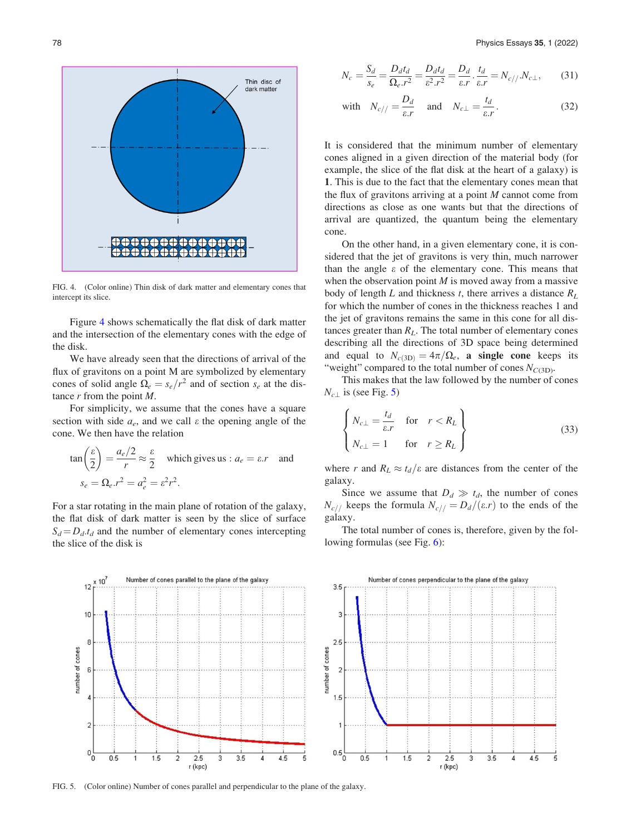

FIG. 4. (Color online) Thin disk of dark matter and elementary cones that intercept its slice.

Figure 4 shows schematically the flat disk of dark matter and the intersection of the elementary cones with the edge of the disk.

We have already seen that the directions of arrival of the flux of gravitons on a point M are symbolized by elementary cones of solid angle  $\Omega_e = s_e/r^2$  and of section  $s_e$  at the distance  $r$  from the point  $M$ .

For simplicity, we assume that the cones have a square section with side  $a_e$ , and we call  $\varepsilon$  the opening angle of the cone. We then have the relation

$$
\tan\left(\frac{\varepsilon}{2}\right) = \frac{a_e/2}{r} \approx \frac{\varepsilon}{2} \quad \text{which gives us : } a_e = \varepsilon \cdot r \quad \text{and}
$$
\n
$$
s_e = \Omega_e \cdot r^2 = a_e^2 = \varepsilon^2 r^2.
$$

For a star rotating in the main plane of rotation of the galaxy, the flat disk of dark matter is seen by the slice of surface  $S_d = D_d t_d$  and the number of elementary cones intercepting the slice of the disk is

$$
N_c = \frac{S_d}{s_e} = \frac{D_d t_d}{\Omega_e r^2} = \frac{D_d t_d}{\varepsilon^2 r^2} = \frac{D_d}{\varepsilon r} \cdot \frac{t_d}{\varepsilon r} = N_{c//} N_{c\perp},\tag{31}
$$

with 
$$
N_{c//} = \frac{D_d}{\varepsilon r}
$$
 and  $N_{c\perp} = \frac{t_d}{\varepsilon r}$ . (32)

It is considered that the minimum number of elementary cones aligned in a given direction of the material body (for example, the slice of the flat disk at the heart of a galaxy) is 1. This is due to the fact that the elementary cones mean that the flux of gravitons arriving at a point  $M$  cannot come from directions as close as one wants but that the directions of arrival are quantized, the quantum being the elementary cone.

On the other hand, in a given elementary cone, it is considered that the jet of gravitons is very thin, much narrower than the angle  $\varepsilon$  of the elementary cone. This means that when the observation point  $M$  is moved away from a massive body of length L and thickness t, there arrives a distance  $R_L$ for which the number of cones in the thickness reaches 1 and the jet of gravitons remains the same in this cone for all distances greater than  $R_L$ . The total number of elementary cones describing all the directions of 3D space being determined and equal to  $N_{c(3D)}=4\pi/\Omega_e$ , a single cone keeps its "weight" compared to the total number of cones  $N_{C(3D)}$ .

This makes that the law followed by the number of cones  $N_{c}$  is (see Fig. 5)

$$
\begin{cases}\nN_{c\perp} = \frac{t_d}{\varepsilon r} & \text{for } r < R_L \\
N_{c\perp} = 1 & \text{for } r \ge R_L\n\end{cases}
$$
\n(33)

where r and  $R_L \approx t_d/\varepsilon$  are distances from the center of the galaxy.

Since we assume that  $D_d \gg t_d$ , the number of cones  $N_{c/}$  keeps the formula  $N_{c/} = D_d/(\varepsilon \cdot r)$  to the ends of the galaxy.

The total number of cones is, therefore, given by the following formulas (see Fig. [6\)](#page-7-0):



FIG. 5. (Color online) Number of cones parallel and perpendicular to the plane of the galaxy.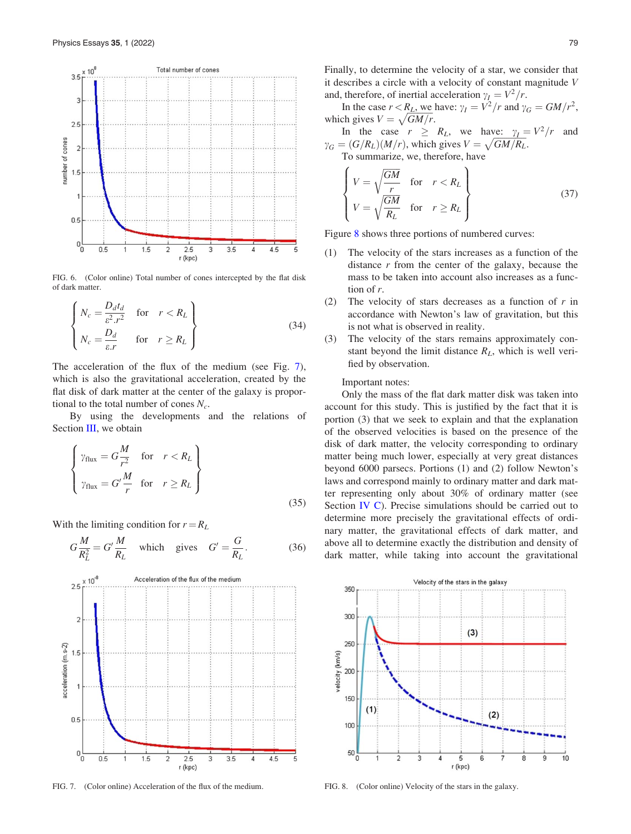<span id="page-7-0"></span>

FIG. 6. (Color online) Total number of cones intercepted by the flat disk of dark matter.

$$
\begin{cases}\nN_c = \frac{D_d t_d}{\varepsilon^2 r^2} & \text{for } r < R_L \\
N_c = \frac{D_d}{\varepsilon r} & \text{for } r \ge R_L\n\end{cases}
$$
\n(34)

The acceleration of the flux of the medium (see Fig. 7), which is also the gravitational acceleration, created by the flat disk of dark matter at the center of the galaxy is proportional to the total number of cones  $N_c$ .

By using the developments and the relations of Section [III,](#page-4-0) we obtain

$$
\begin{cases}\n\gamma_{\text{flux}} = G \frac{M}{r^2} & \text{for } r < R_L \\
\gamma_{\text{flux}} = G' \frac{M}{r} & \text{for } r \ge R_L\n\end{cases}
$$
\n(35)

With the limiting condition for  $r = R_L$ 

$$
G\frac{M}{R_L^2} = G'\frac{M}{R_L} \quad \text{which gives} \quad G' = \frac{G}{R_L}.\tag{36}
$$



FIG. 7. (Color online) Acceleration of the flux of the medium. FIG. 8. (Color online) Velocity of the stars in the galaxy.

Finally, to determine the velocity of a star, we consider that it describes a circle with a velocity of constant magnitude V and, therefore, of inertial acceleration  $\gamma_I = V^2/r$ .

In the case  $r < R_L$ , we have:  $\gamma_I = V^2/r$  and  $\gamma_G = GM/r^2$ , which gives  $V = \sqrt{GM/r}$ .

In the case  $r \ge R_L$ , we have:  $\gamma_I = V^2/r$  and  $\gamma_G = (G/R_L)(M/r)$ , which gives  $V = \sqrt{GM/R_L}$ .

To summarize, we, therefore, have  $\overline{6}$ 

$$
\begin{cases}\nV = \sqrt{\frac{GM}{r}} & \text{for } r < R_L \\
V = \sqrt{\frac{GM}{R_L}} & \text{for } r \ge R_L\n\end{cases}
$$
\n(37)

Figure 8 shows three portions of numbered curves:

- (1) The velocity of the stars increases as a function of the distance  $r$  from the center of the galaxy, because the mass to be taken into account also increases as a function of r.
- (2) The velocity of stars decreases as a function of  $r$  in accordance with Newton's law of gravitation, but this is not what is observed in reality.
- (3) The velocity of the stars remains approximately constant beyond the limit distance  $R_L$ , which is well verified by observation.

#### Important notes:

Only the mass of the flat dark matter disk was taken into account for this study. This is justified by the fact that it is portion (3) that we seek to explain and that the explanation of the observed velocities is based on the presence of the disk of dark matter, the velocity corresponding to ordinary matter being much lower, especially at very great distances beyond 6000 parsecs. Portions (1) and (2) follow Newton's laws and correspond mainly to ordinary matter and dark matter representing only about 30% of ordinary matter (see Section [IV C\)](#page-8-0). Precise simulations should be carried out to determine more precisely the gravitational effects of ordinary matter, the gravitational effects of dark matter, and above all to determine exactly the distribution and density of dark matter, while taking into account the gravitational

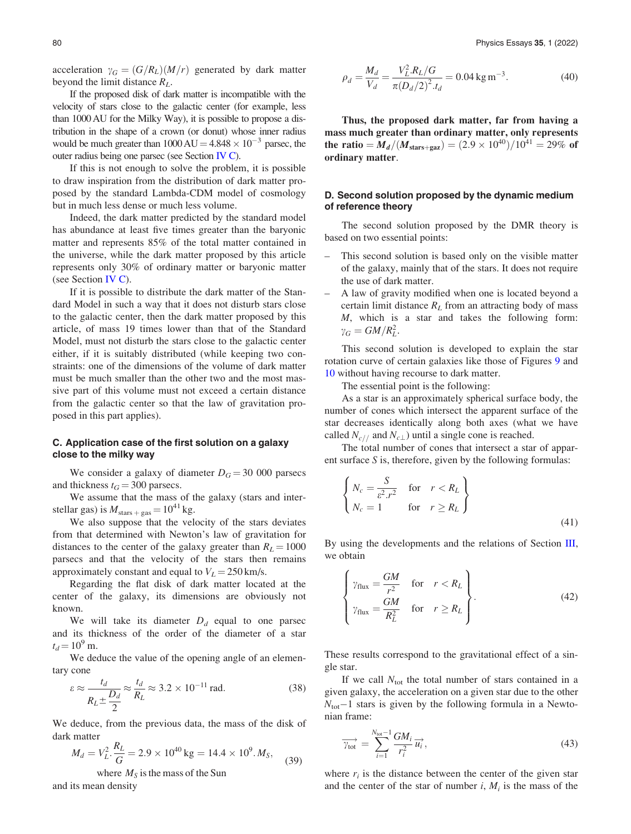<span id="page-8-0"></span>acceleration  $\gamma_G = (G/R_L)(M/r)$  generated by dark matter beyond the limit distance  $R_L$ .

If the proposed disk of dark matter is incompatible with the velocity of stars close to the galactic center (for example, less than 1000 AU for the Milky Way), it is possible to propose a distribution in the shape of a crown (or donut) whose inner radius would be much greater than  $1000 \text{ AU} = 4.848 \times 10^{-3}$  parsec, the outer radius being one parsec (see Section IV C).

If this is not enough to solve the problem, it is possible to draw inspiration from the distribution of dark matter proposed by the standard Lambda-CDM model of cosmology but in much less dense or much less volume.

Indeed, the dark matter predicted by the standard model has abundance at least five times greater than the baryonic matter and represents 85% of the total matter contained in the universe, while the dark matter proposed by this article represents only 30% of ordinary matter or baryonic matter (see Section IV C).

If it is possible to distribute the dark matter of the Standard Model in such a way that it does not disturb stars close to the galactic center, then the dark matter proposed by this article, of mass 19 times lower than that of the Standard Model, must not disturb the stars close to the galactic center either, if it is suitably distributed (while keeping two constraints: one of the dimensions of the volume of dark matter must be much smaller than the other two and the most massive part of this volume must not exceed a certain distance from the galactic center so that the law of gravitation proposed in this part applies).

# C. Application case of the first solution on a galaxy close to the milky way

We consider a galaxy of diameter  $D_G = 30,000$  parsecs and thickness  $t_G = 300$  parsecs.

We assume that the mass of the galaxy (stars and interstellar gas) is  $M_{\text{stars} + gas} = 10^{41}$  kg.

We also suppose that the velocity of the stars deviates from that determined with Newton's law of gravitation for distances to the center of the galaxy greater than  $R_L = 1000$ parsecs and that the velocity of the stars then remains approximately constant and equal to  $V_L = 250$  km/s.

Regarding the flat disk of dark matter located at the center of the galaxy, its dimensions are obviously not known.

We will take its diameter  $D_d$  equal to one parsec and its thickness of the order of the diameter of a star  $t_d = 10^9$  m.

We deduce the value of the opening angle of an elementary cone

$$
\varepsilon \approx \frac{t_d}{R_L \pm \frac{D_d}{2}} \approx \frac{t_d}{R_L} \approx 3.2 \times 10^{-11} \text{ rad.}
$$
 (38)

We deduce, from the previous data, the mass of the disk of dark matter

$$
M_d = V_L^2 \cdot \frac{R_L}{G} = 2.9 \times 10^{40} \text{ kg} = 14.4 \times 10^9. M_S,
$$
 (39)

where  $M<sub>S</sub>$  is the mass of the Sun and its mean density

$$
\rho_d = \frac{M_d}{V_d} = \frac{V_L^2 R_L / G}{\pi (D_d / 2)^2 t_d} = 0.04 \,\text{kg} \,\text{m}^{-3}.\tag{40}
$$

Thus, the proposed dark matter, far from having a mass much greater than ordinary matter, only represents the ratio  $=M_d/(M_{\text{stars}+gaz})=(2.9\times10^{40})/10^{41} = 29\%$  of ordinary matter.

# D. Second solution proposed by the dynamic medium of reference theory

The second solution proposed by the DMR theory is based on two essential points:

- This second solution is based only on the visible matter of the galaxy, mainly that of the stars. It does not require the use of dark matter.
- A law of gravity modified when one is located beyond a certain limit distance  $R_L$  from an attracting body of mass M, which is a star and takes the following form:  $\gamma_G = GM/R_L^2$ .

This second solution is developed to explain the star rotation curve of certain galaxies like those of Figures [9](#page-9-0) and [10](#page-10-0) without having recourse to dark matter.

The essential point is the following:

As a star is an approximately spherical surface body, the number of cones which intersect the apparent surface of the star decreases identically along both axes (what we have called  $N_{c/}$  and  $N_{c\perp}$ ) until a single cone is reached.

The total number of cones that intersect a star of apparent surface S is, therefore, given by the following formulas:

$$
\begin{cases}\nN_c = \frac{S}{\varepsilon^2 r^2} & \text{for } r < R_L \\
N_c = 1 & \text{for } r \ge R_L\n\end{cases}
$$
\n
$$
(41)
$$

By using the developments and the relations of Section [III](#page-4-0), we obtain

$$
\begin{cases}\n\gamma_{\text{flux}} = \frac{GM}{r^2} & \text{for } r < R_L \\
\gamma_{\text{flux}} = \frac{GM}{R_L^2} & \text{for } r \ge R_L\n\end{cases}.
$$
\n(42)

These results correspond to the gravitational effect of a single star.

If we call  $N_{\text{tot}}$  the total number of stars contained in a given galaxy, the acceleration on a given star due to the other  $N_{\text{tot}}-1$  stars is given by the following formula in a Newtonian frame:

$$
\overrightarrow{\gamma_{\text{tot}}} = \sum_{i=1}^{N_{\text{tot}}-1} \frac{GM_i}{r_i^2} \overrightarrow{u_i},\tag{43}
$$

where  $r_i$  is the distance between the center of the given star and the center of the star of number i,  $M_i$  is the mass of the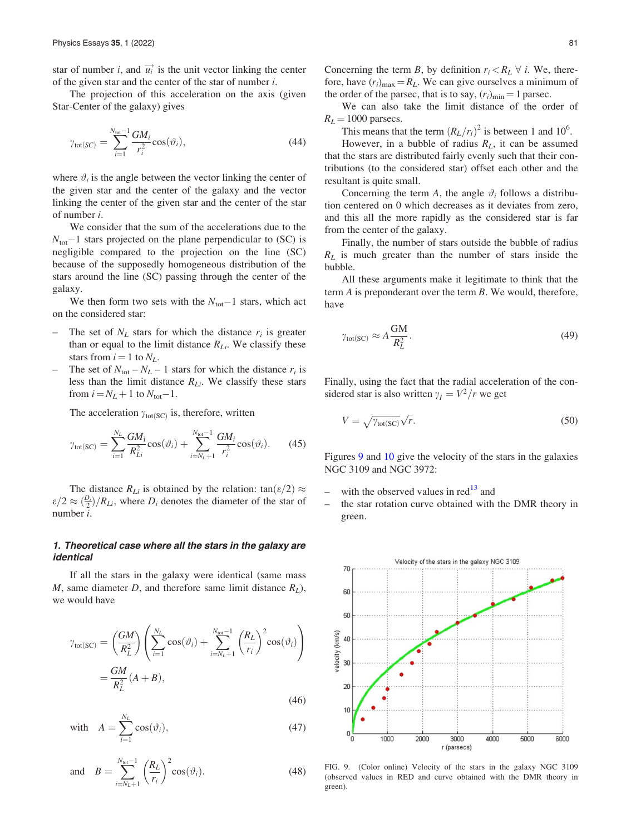<span id="page-9-0"></span>star of number *i*, and  $\overrightarrow{u_i}$  is the unit vector linking the center of the given star and the center of the star of number  $i$ .

The projection of this acceleration on the axis (given Star-Center of the galaxy) gives

$$
\gamma_{\text{tot}(SC)} = \sum_{i=1}^{N_{\text{tot}}-1} \frac{GM_i}{r_i^2} \cos(\vartheta_i),\tag{44}
$$

where  $\vartheta_i$  is the angle between the vector linking the center of the given star and the center of the galaxy and the vector linking the center of the given star and the center of the star of number i.

We consider that the sum of the accelerations due to the  $N_{\text{tot}}-1$  stars projected on the plane perpendicular to (SC) is negligible compared to the projection on the line (SC) because of the supposedly homogeneous distribution of the stars around the line (SC) passing through the center of the galaxy.

We then form two sets with the  $N_{\text{tot}}-1$  stars, which act on the considered star:

- The set of  $N_L$  stars for which the distance  $r_i$  is greater than or equal to the limit distance  $R_{Li}$ . We classify these stars from  $i = 1$  to  $N_L$ .
- The set of  $N_{\text{tot}} N_L 1$  stars for which the distance  $r_i$  is less than the limit distance  $R_{Li}$ . We classify these stars from  $i = N_L + 1$  to  $N_{\text{tot}} - 1$ .

The acceleration  $\gamma_{\text{tot}(SC)}$  is, therefore, written

$$
\gamma_{\text{tot}(SC)} = \sum_{i=1}^{N_L} \frac{GM_i}{R_{Li}^2} \cos(\vartheta_i) + \sum_{i=N_L+1}^{N_{\text{tot}}-1} \frac{GM_i}{r_i^2} \cos(\vartheta_i). \tag{45}
$$

The distance  $R_{Li}$  is obtained by the relation: tan $(\varepsilon/2) \approx$  $\frac{\varepsilon}{2} \approx \frac{D_i}{2} / R_{Li}$ , where  $D_i$  denotes the diameter of the star of number i.

# 1. Theoretical case where all the stars in the galaxy are identical

If all the stars in the galaxy were identical (same mass M, same diameter D, and therefore same limit distance  $R_L$ ), we would have

$$
\gamma_{\text{tot}(SC)} = \left(\frac{GM}{R_L^2}\right) \left(\sum_{i=1}^{N_L} \cos(\vartheta_i) + \sum_{i=N_L+1}^{N_{\text{tot}}-1} \left(\frac{R_L}{r_i}\right)^2 \cos(\vartheta_i)\right)
$$

$$
= \frac{GM}{R_L^2} (A+B), \qquad (46)
$$

with 
$$
A = \sum_{i=1}^{N_L} \cos(\vartheta_i)
$$
, (47)

and 
$$
B = \sum_{i=N_L+1}^{N_{\text{tot}}-1} \left(\frac{R_L}{r_i}\right)^2 \cos(\vartheta_i). \tag{48}
$$

Concerning the term B, by definition  $r_i < R_L \forall i$ . We, therefore, have  $(r_i)_{\text{max}} = R_L$ . We can give ourselves a minimum of the order of the parsec, that is to say,  $(r_i)_{\text{min}} = 1$  parsec.

We can also take the limit distance of the order of  $R_L = 1000$  parsecs.

This means that the term  $(R_L/r_i)^2$  is between 1 and 10<sup>6</sup>.

However, in a bubble of radius  $R_L$ , it can be assumed that the stars are distributed fairly evenly such that their contributions (to the considered star) offset each other and the resultant is quite small.

Concerning the term A, the angle  $\vartheta_i$  follows a distribution centered on 0 which decreases as it deviates from zero, and this all the more rapidly as the considered star is far from the center of the galaxy.

Finally, the number of stars outside the bubble of radius  $R_L$  is much greater than the number of stars inside the bubble.

All these arguments make it legitimate to think that the term A is preponderant over the term B. We would, therefore, have

$$
\gamma_{\text{tot(SC)}} \approx A \frac{\text{GM}}{R_L^2}.\tag{49}
$$

Finally, using the fact that the radial acceleration of the considered star is also written  $\gamma_I = V^2/r$  we get

$$
V = \sqrt{\gamma_{\text{tot}(SC)}} \sqrt{r}.\tag{50}
$$

Figures 9 and [10](#page-10-0) give the velocity of the stars in the galaxies NGC 3109 and NGC 3972:

- with the observed values in  $\text{red}^{13}$  $\text{red}^{13}$  $\text{red}^{13}$  and
- the star rotation curve obtained with the DMR theory in green.



FIG. 9. (Color online) Velocity of the stars in the galaxy NGC 3109 (observed values in RED and curve obtained with the DMR theory in green).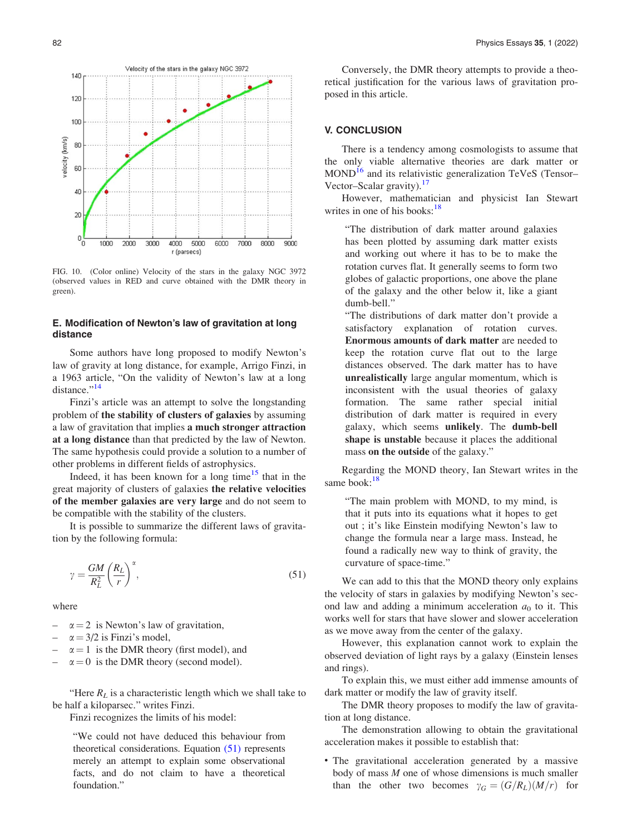<span id="page-10-0"></span>

FIG. 10. (Color online) Velocity of the stars in the galaxy NGC 3972 (observed values in RED and curve obtained with the DMR theory in green).

### E. Modification of Newton's law of gravitation at long distance

Some authors have long proposed to modify Newton's law of gravity at long distance, for example, Arrigo Finzi, in a 1963 article, "On the validity of Newton's law at a long distance."<sup>[14](#page-12-0)</sup>

Finzi's article was an attempt to solve the longstanding problem of the stability of clusters of galaxies by assuming a law of gravitation that implies a much stronger attraction at a long distance than that predicted by the law of Newton. The same hypothesis could provide a solution to a number of other problems in different fields of astrophysics.

Indeed, it has been known for a long time<sup>[15](#page-12-0)</sup> that in the great majority of clusters of galaxies the relative velocities of the member galaxies are very large and do not seem to be compatible with the stability of the clusters.

It is possible to summarize the different laws of gravitation by the following formula:

$$
\gamma = \frac{GM}{R_L^2} \left(\frac{R_L}{r}\right)^{\alpha},\tag{51}
$$

where

- $\alpha = 2$  is Newton's law of gravitation,
- $\alpha = 3/2$  is Finzi's model,
- $\alpha = 1$  is the DMR theory (first model), and
- $\alpha = 0$  is the DMR theory (second model).

"Here  $R_L$  is a characteristic length which we shall take to be half a kiloparsec." writes Finzi.

Finzi recognizes the limits of his model:

"We could not have deduced this behaviour from theoretical considerations. Equation (51) represents merely an attempt to explain some observational facts, and do not claim to have a theoretical foundation."

Conversely, the DMR theory attempts to provide a theoretical justification for the various laws of gravitation proposed in this article.

#### V. CONCLUSION

There is a tendency among cosmologists to assume that the only viable alternative theories are dark matter or MOND<sup>[16](#page-12-0)</sup> and its relativistic generalization TeVeS (Tensor– Vector–Scalar gravity).<sup>[17](#page-12-0)</sup>

However, mathematician and physicist Ian Stewart writes in one of his books: $18$ 

"The distribution of dark matter around galaxies has been plotted by assuming dark matter exists and working out where it has to be to make the rotation curves flat. It generally seems to form two globes of galactic proportions, one above the plane of the galaxy and the other below it, like a giant dumb-bell."

"The distributions of dark matter don't provide a satisfactory explanation of rotation curves. Enormous amounts of dark matter are needed to keep the rotation curve flat out to the large distances observed. The dark matter has to have unrealistically large angular momentum, which is inconsistent with the usual theories of galaxy formation. The same rather special initial distribution of dark matter is required in every galaxy, which seems unlikely. The dumb-bell shape is unstable because it places the additional mass on the outside of the galaxy."

Regarding the MOND theory, Ian Stewart writes in the same book:<sup>[18](#page-12-0)</sup>

"The main problem with MOND, to my mind, is that it puts into its equations what it hopes to get out ; it's like Einstein modifying Newton's law to change the formula near a large mass. Instead, he found a radically new way to think of gravity, the curvature of space-time."

We can add to this that the MOND theory only explains the velocity of stars in galaxies by modifying Newton's second law and adding a minimum acceleration  $a_0$  to it. This works well for stars that have slower and slower acceleration as we move away from the center of the galaxy.

However, this explanation cannot work to explain the observed deviation of light rays by a galaxy (Einstein lenses and rings).

To explain this, we must either add immense amounts of dark matter or modify the law of gravity itself.

The DMR theory proposes to modify the law of gravitation at long distance.

The demonstration allowing to obtain the gravitational acceleration makes it possible to establish that:

• The gravitational acceleration generated by a massive body of mass  $M$  one of whose dimensions is much smaller than the other two becomes  $\gamma_G = (G/R_L)(M/r)$  for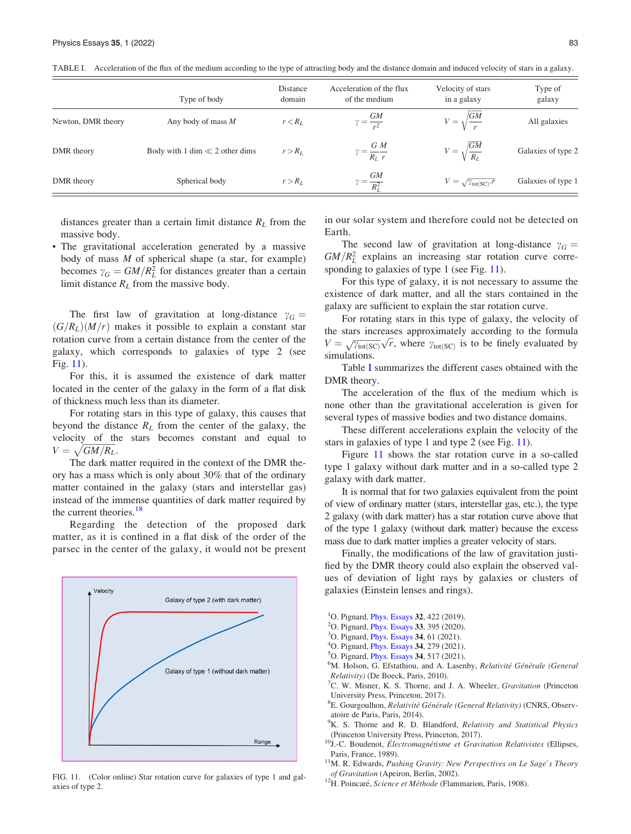|                    | Type of body                       | Distance<br>domain | Acceleration of the flux<br>of the medium | Velocity of stars<br>in a galaxy             | Type of<br>galaxy  |
|--------------------|------------------------------------|--------------------|-------------------------------------------|----------------------------------------------|--------------------|
| Newton, DMR theory | Any body of mass $M$               | $r < R_L$          | $\gamma = \frac{GM}{r^2}$                 | $V = \sqrt{\frac{GM}{r}}$                    | All galaxies       |
| DMR theory         | Body with 1 dim $\ll$ 2 other dims | $r > R_L$          | $\gamma = \frac{G M}{R_I r}$              | $V = \sqrt{\frac{GM}{R_L}}$                  | Galaxies of type 2 |
| DMR theory         | Spherical body                     | $r > R_L$          | $\gamma = \frac{GM}{R_L^2}$               | $V = \sqrt{\gamma_{\text{tot}(SC)} \cdot r}$ | Galaxies of type 1 |

<span id="page-11-0"></span>TABLE I. Acceleration of the flux of the medium according to the type of attracting body and the distance domain and induced velocity of stars in a galaxy.

distances greater than a certain limit distance  $R_L$  from the massive body.

• The gravitational acceleration generated by a massive body of mass  $M$  of spherical shape (a star, for example) becomes  $\gamma_G = GM/R_L^2$  for distances greater than a certain limit distance  $R_L$  from the massive body.

The first law of gravitation at long-distance  $\gamma_G =$  $(G/R<sub>L</sub>)(M/r)$  makes it possible to explain a constant star rotation curve from a certain distance from the center of the galaxy, which corresponds to galaxies of type 2 (see Fig. 11).

For this, it is assumed the existence of dark matter located in the center of the galaxy in the form of a flat disk of thickness much less than its diameter.

For rotating stars in this type of galaxy, this causes that beyond the distance  $R_L$  from the center of the galaxy, the velocity of the stars becomes constant and equal to  $V = \sqrt{GM/R_L}$ .

The dark matter required in the context of the DMR theory has a mass which is only about 30% that of the ordinary matter contained in the galaxy (stars and interstellar gas) instead of the immense quantities of dark matter required by the current theories.<sup>[18](#page-12-0)</sup>

Regarding the detection of the proposed dark matter, as it is confined in a flat disk of the order of the parsec in the center of the galaxy, it would not be present



FIG. 11. (Color online) Star rotation curve for galaxies of type 1 and galaxies of type 2.

in our solar system and therefore could not be detected on Earth.

The second law of gravitation at long-distance  $\gamma_G$  =  $GM/R<sub>L</sub><sup>2</sup>$  explains an increasing star rotation curve corresponding to galaxies of type 1 (see Fig. 11).

For this type of galaxy, it is not necessary to assume the existence of dark matter, and all the stars contained in the galaxy are sufficient to explain the star rotation curve.

For rotating stars in this type of galaxy, the velocity of the stars increases approximately according to the formula  $V = \sqrt{\gamma_{\text{tot}}(\text{sc})} \sqrt{r}$ , where  $\gamma_{\text{tot}}(\text{sc})$  is to be finely evaluated by simulations.

Table I summarizes the different cases obtained with the DMR theory.

The acceleration of the flux of the medium which is none other than the gravitational acceleration is given for several types of massive bodies and two distance domains.

These different accelerations explain the velocity of the stars in galaxies of type 1 and type 2 (see Fig. 11).

Figure 11 shows the star rotation curve in a so-called type 1 galaxy without dark matter and in a so-called type 2 galaxy with dark matter.

It is normal that for two galaxies equivalent from the point of view of ordinary matter (stars, interstellar gas, etc.), the type 2 galaxy (with dark matter) has a star rotation curve above that of the type 1 galaxy (without dark matter) because the excess mass due to dark matter implies a greater velocity of stars.

Finally, the modifications of the law of gravitation justified by the DMR theory could also explain the observed values of deviation of light rays by galaxies or clusters of galaxies (Einstein lenses and rings).

- <sup>1</sup>O. Pignard, *[Phys. Essays](http://dx.doi.org/10.4006/0836-1398-32.4.422)* 32, 422 (2019).
- <sup>2</sup>O. Pignard, *[Phys. Essays](http://dx.doi.org/10.4006/0836-1398-33.4.395)* 33, 395 (2020).
- <sup>3</sup>O. Pignard, *[Phys. Essays](http://dx.doi.org/10.4006/0836-1398-34.1.61)* **34**, 61 (2021).
- <sup>4</sup>O. Pignard, *[Phys. Essays](http://dx.doi.org/10.4006/0836-1398-34.3.279)* **34**, 279 (2021).
- <sup>5</sup>O. Pignard, *[Phys. Essays](http://dx.doi.org/10.4006/0836-1398-34.4.517)* 34, 517 (2021).

M. Holson, G. Efstathiou, and A. Lasenby, Relativité Générale (General Relativity) (De Boeck, Paris, 2010). <sup>7</sup>

 ${}^{7}C$ . W. Misner, K. S. Thorne, and J. A. Wheeler, *Gravitation* (Princeton University Press, Princeton, 2017).

of Gravitation (Apeiron, Berlin, 2002).<br><sup>12</sup>H. Poincaré, Science et Méthode (Flammarion, Paris, 1908).

<sup>&</sup>lt;sup>8</sup>E. Gourgoulhon, Relativité Générale (General Relativity) (CNRS, Observatoire de Paris, Paris, 2014).

<sup>&</sup>lt;sup>9</sup>K. S. Thorne and R. D. Blandford, Relativity and Statistical Physics

<sup>(</sup>Princeton University Press, Princeton, 2017).<br><sup>10</sup>J.-C. Boudenot, *Électromagnétisme et Gravitation Relativistes* (Ellipses,

Paris, France, 1989).  $11$ M. R. Edwards, *Pushing Gravity: New Perspectives on Le Sage's Theory of Gravitation* (Apeiron, Berlin, 2002).